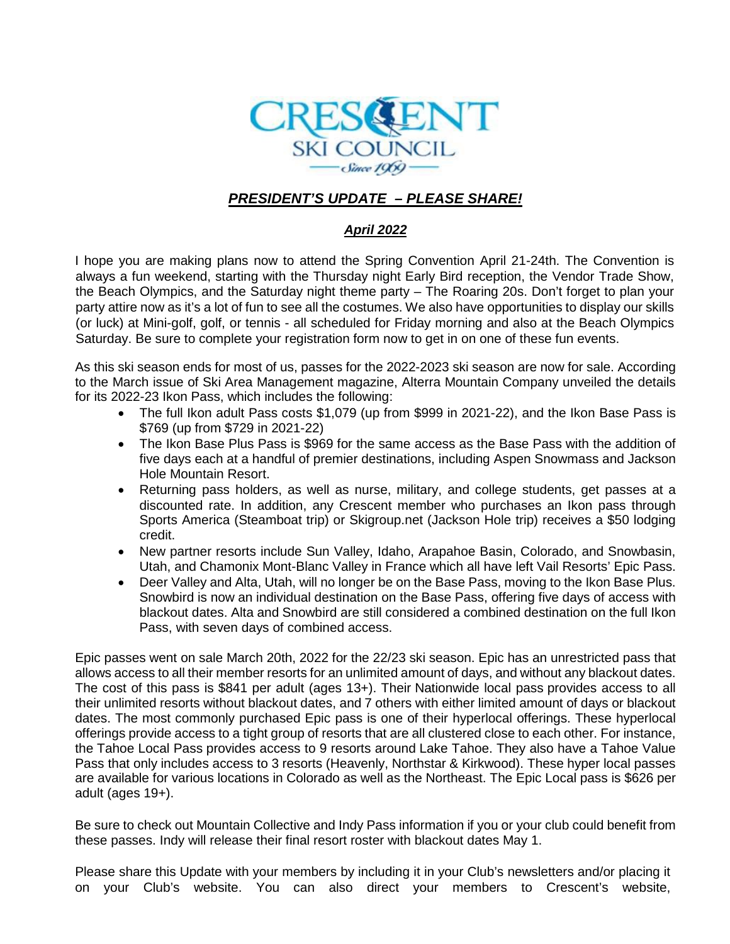

# *PRESIDENT'S UPDATE – PLEASE SHARE!*

#### *April 2022*

I hope you are making plans now to attend the Spring Convention April 21-24th. The Convention is always a fun weekend, starting with the Thursday night Early Bird reception, the Vendor Trade Show, the Beach Olympics, and the Saturday night theme party – The Roaring 20s. Don't forget to plan your party attire now as it's a lot of fun to see all the costumes. We also have opportunities to display our skills (or luck) at Mini-golf, golf, or tennis - all scheduled for Friday morning and also at the Beach Olympics Saturday. Be sure to complete your registration form now to get in on one of these fun events.

As this ski season ends for most of us, passes for the 2022-2023 ski season are now for sale. According to the March issue of Ski Area Management magazine, Alterra Mountain Company unveiled the details for its 2022-23 Ikon Pass, which includes the following:

- The full Ikon adult Pass costs \$1,079 (up from \$999 in 2021-22), and the Ikon Base Pass is \$769 (up from \$729 in 2021-22)
- The Ikon Base Plus Pass is \$969 for the same access as the Base Pass with the addition of five days each at a handful of premier destinations, including Aspen Snowmass and Jackson Hole Mountain Resort.
- Returning pass holders, as well as nurse, military, and college students, get passes at a discounted rate. In addition, any Crescent member who purchases an Ikon pass through Sports America (Steamboat trip) or Skigroup.net (Jackson Hole trip) receives a \$50 lodging credit.
- New partner resorts include Sun Valley, Idaho, Arapahoe Basin, Colorado, and Snowbasin, Utah, and Chamonix Mont-Blanc Valley in France which all have left Vail Resorts' Epic Pass.
- Deer Valley and Alta, Utah, will no longer be on the Base Pass, moving to the Ikon Base Plus. Snowbird is now an individual destination on the Base Pass, offering five days of access with blackout dates. Alta and Snowbird are still considered a combined destination on the full Ikon Pass, with seven days of combined access.

Epic passes went on sale March 20th, 2022 for the 22/23 ski season. Epic has an unrestricted pass that allows access to all their member resorts for an unlimited amount of days, and without any blackout dates. The cost of this pass is \$841 per adult (ages 13+). Their Nationwide local pass provides access to all their unlimited resorts without blackout dates, and 7 others with either limited amount of days or blackout dates. The most commonly purchased Epic pass is one of their hyperlocal offerings. These hyperlocal offerings provide access to a tight group of resorts that are all clustered close to each other. For instance, the Tahoe Local Pass provides access to 9 resorts around [Lake Tahoe.](https://parksandtrips.com/ski/ski-lake-tahoe/) They also have a Tahoe Value Pass that only includes access to 3 resorts (Heavenly, Northstar & Kirkwood). These hyper local passes are available for various locations in Colorado as well as the Northeast. The Epic Local pass is \$626 per adult (ages 19+).

Be sure to check out Mountain Collective and Indy Pass information if you or your club could benefit from these passes. Indy will release their final resort roster with blackout dates May 1.

Please share this Update with your members by including it in your Club's newsletters and/or placing it on your Club's website. You can also direct your members to Crescent's website,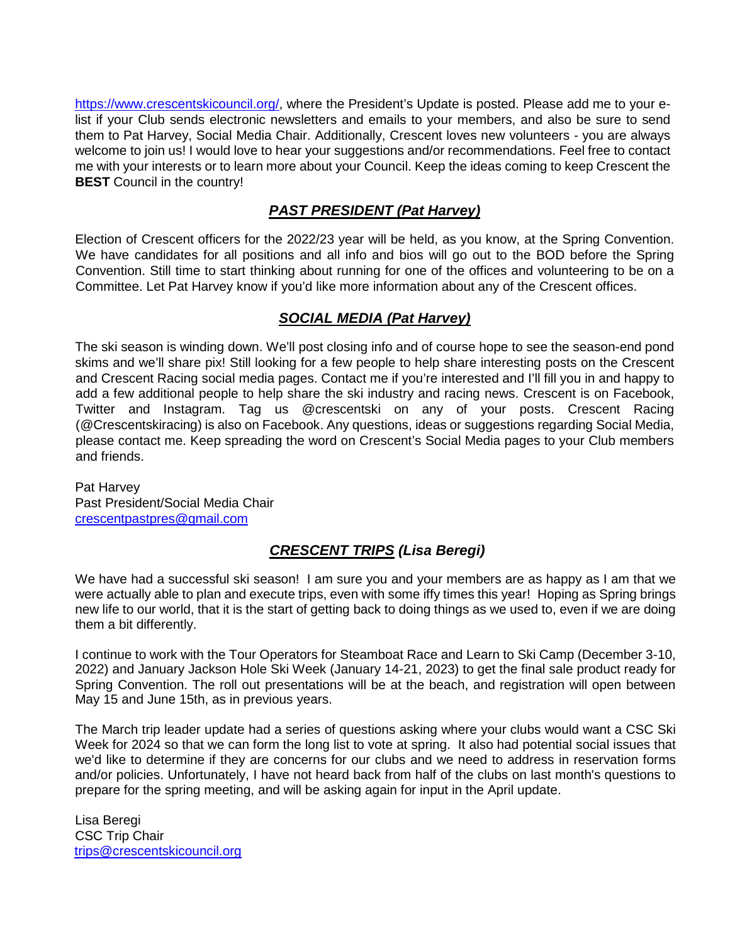[https://www.crescentskicouncil.org/,](https://www.crescentskicouncil.org/) where the President's Update is posted. Please add me to your elist if your Club sends electronic newsletters and emails to your members, and also be sure to send them to Pat Harvey, Social Media Chair. Additionally, Crescent loves new volunteers - you are always welcome to join us! I would love to hear your suggestions and/or recommendations. Feel free to contact me with your interests or to learn more about your Council. Keep the ideas coming to keep Crescent the **BEST** Council in the country!

# *PAST PRESIDENT (Pat Harvey)*

Election of Crescent officers for the 2022/23 year will be held, as you know, at the Spring Convention. We have candidates for all positions and all info and bios will go out to the BOD before the Spring Convention. Still time to start thinking about running for one of the offices and volunteering to be on a Committee. Let Pat Harvey know if you'd like more information about any of the Crescent offices.

### *SOCIAL MEDIA (Pat Harvey)*

The ski season is winding down. We'll post closing info and of course hope to see the season-end pond skims and we'll share pix! Still looking for a few people to help share interesting posts on the Crescent and Crescent Racing social media pages. Contact me if you're interested and I'll fill you in and happy to add a few additional people to help share the ski industry and racing news. Crescent is on Facebook, Twitter and Instagram. Tag us @crescentski on any of your posts. Crescent Racing (@Crescentskiracing) is also on Facebook. Any questions, ideas or suggestions regarding Social Media, please contact me. Keep spreading the word on Crescent's Social Media pages to your Club members and friends.

Pat Harvey Past President/Social Media Chair [crescentpastpres@gmail.com](mailto:crescentpastpres@gmail.com)

# *CRESCENT TRIPS (Lisa Beregi)*

We have had a successful ski season! I am sure you and your members are as happy as I am that we were actually able to plan and execute trips, even with some iffy times this year! Hoping as Spring brings new life to our world, that it is the start of getting back to doing things as we used to, even if we are doing them a bit differently.

I continue to work with the Tour Operators for Steamboat Race and Learn to Ski Camp (December 3-10, 2022) and January Jackson Hole Ski Week (January 14-21, 2023) to get the final sale product ready for Spring Convention. The roll out presentations will be at the beach, and registration will open between May 15 and June 15th, as in previous years.

The March trip leader update had a series of questions asking where your clubs would want a CSC Ski Week for 2024 so that we can form the long list to vote at spring. It also had potential social issues that we'd like to determine if they are concerns for our clubs and we need to address in reservation forms and/or policies. Unfortunately, I have not heard back from half of the clubs on last month's questions to prepare for the spring meeting, and will be asking again for input in the April update.

Lisa Beregi CSC Trip Chair [trips@crescentskicouncil.org](mailto:trips@crescentskicouncil.org)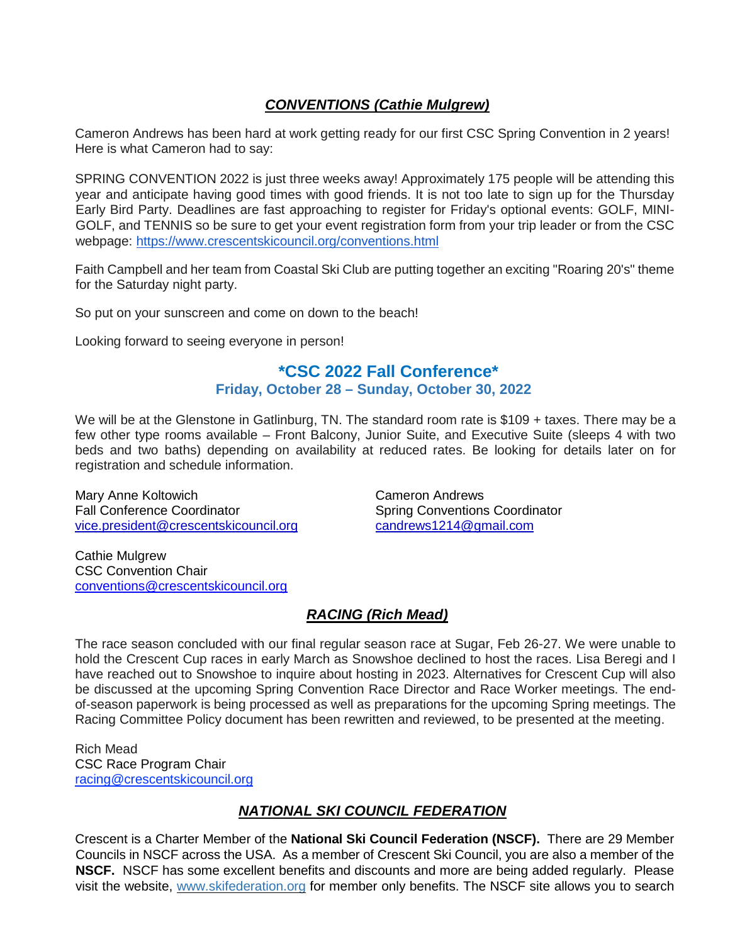### *CONVENTIONS (Cathie Mulgrew)*

Cameron Andrews has been hard at work getting ready for our first CSC Spring Convention in 2 years! Here is what Cameron had to say:

SPRING CONVENTION 2022 is just three weeks away! Approximately 175 people will be attending this year and anticipate having good times with good friends. It is not too late to sign up for the Thursday Early Bird Party. Deadlines are fast approaching to register for Friday's optional events: GOLF, MINI-GOLF, and TENNIS so be sure to get your event registration form from your trip leader or from the CSC webpage: <https://www.crescentskicouncil.org/conventions.html>

Faith Campbell and her team from Coastal Ski Club are putting together an exciting "Roaring 20's" theme for the Saturday night party.

So put on your sunscreen and come on down to the beach!

Looking forward to seeing everyone in person!

# **\*CSC 2022 Fall Conference\***

 **Friday, October 28 – Sunday, October 30, 2022**

We will be at the Glenstone in Gatlinburg, TN. The standard room rate is \$109 + taxes. There may be a few other type rooms available – Front Balcony, Junior Suite, and Executive Suite (sleeps 4 with two beds and two baths) depending on availability at reduced rates. Be looking for details later on for registration and schedule information.

Mary Anne Koltowich<br>
Fall Conference Coordinator<br>
Fall Conference Coordinator<br>
Camero Coordinator<br>
Conventions [vice.president@crescentskicouncil](mailto:vice.president@crescentskicouncil.org).org [candrews1214@gmail.com](mailto:candrews1214@gmail.com)

Spring Conventions Coordinator

Cathie Mulgrew CSC Convention Chair [conventions@crescentskicouncil.org](mailto:conventions@crescentskicouncil.org)

# *RACING (Rich Mead)*

The race season concluded with our final regular season race at Sugar, Feb 26-27. We were unable to hold the Crescent Cup races in early March as Snowshoe declined to host the races. Lisa Beregi and I have reached out to Snowshoe to inquire about hosting in 2023. Alternatives for Crescent Cup will also be discussed at the upcoming Spring Convention Race Director and Race Worker meetings. The endof-season paperwork is being processed as well as preparations for the upcoming Spring meetings. The Racing Committee Policy document has been rewritten and reviewed, to be presented at the meeting.

Rich Mead CSC Race Program Chair [racing@crescentskicouncil.org](mailto:racing@crescentskicouncil.org)

# *NATIONAL SKI COUNCIL FEDERATION*

Crescent is a Charter Member of the **National Ski Council Federation (NSCF).** There are 29 Member Councils in NSCF across the USA. As a member of Crescent Ski Council, you are also a member of the **NSCF.** NSCF has some excellent benefits and discounts and more are being added regularly. Please visit the website, [www.skifederation.org](http://www.skifederation.org/) for member only benefits. The NSCF site allows you to search